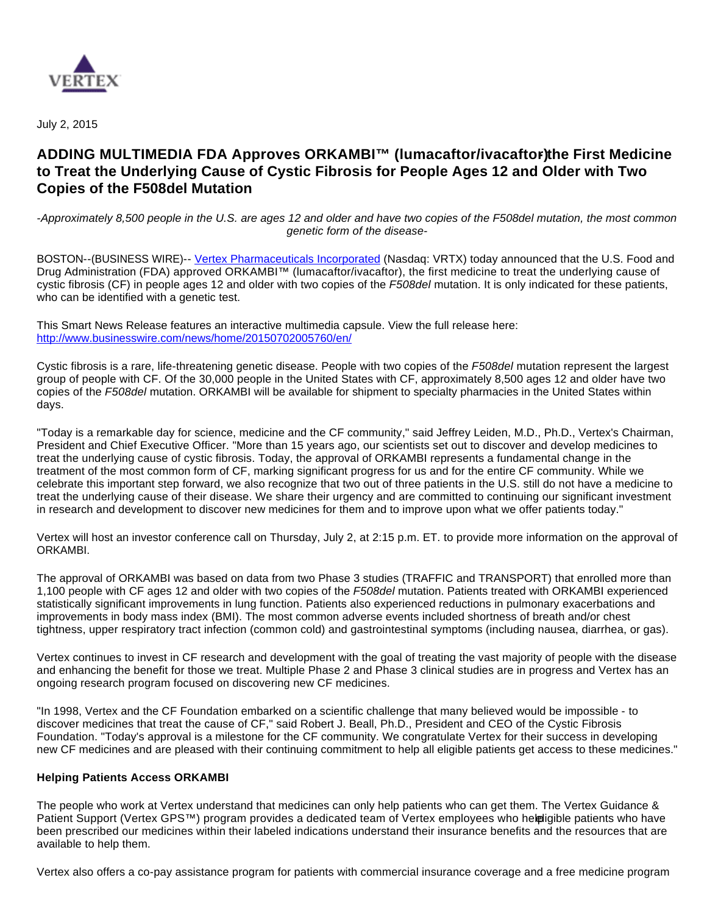

July 2, 2015

# ADDING MULTIMEDIA FDA Approves ORKAMBI™ (lumacaftor/ivacaftor)the First Medicine **to Treat the Underlying Cause of Cystic Fibrosis for People Ages 12 and Older with Two Copies of the F508del Mutation**

-Approximately 8,500 people in the U.S. are ages 12 and older and have two copies of the F508del mutation, the most common genetic form of the disease-

BOSTON--(BUSINESS WIRE)-- [Vertex Pharmaceuticals Incorporated](http://cts.businesswire.com/ct/CT?id=smartlink&url=http%3A%2F%2Fwww.vrtx.com&esheet=51123505&newsitemid=20150702005760&lan=en-US&anchor=Vertex+Pharmaceuticals+Incorporated&index=1&md5=3486a9bdb97bc1bcae2067b551d640ed) (Nasdaq: VRTX) today announced that the U.S. Food and Drug Administration (FDA) approved ORKAMBI™ (lumacaftor/ivacaftor), the first medicine to treat the underlying cause of cystic fibrosis (CF) in people ages 12 and older with two copies of the F508del mutation. It is only indicated for these patients, who can be identified with a genetic test.

This Smart News Release features an interactive multimedia capsule. View the full release here: <http://www.businesswire.com/news/home/20150702005760/en/>

Cystic fibrosis is a rare, life-threatening genetic disease. People with two copies of the F508del mutation represent the largest group of people with CF. Of the 30,000 people in the United States with CF, approximately 8,500 ages 12 and older have two copies of the F508del mutation. ORKAMBI will be available for shipment to specialty pharmacies in the United States within days.

"Today is a remarkable day for science, medicine and the CF community," said Jeffrey Leiden, M.D., Ph.D., Vertex's Chairman, President and Chief Executive Officer. "More than 15 years ago, our scientists set out to discover and develop medicines to treat the underlying cause of cystic fibrosis. Today, the approval of ORKAMBI represents a fundamental change in the treatment of the most common form of CF, marking significant progress for us and for the entire CF community. While we celebrate this important step forward, we also recognize that two out of three patients in the U.S. still do not have a medicine to treat the underlying cause of their disease. We share their urgency and are committed to continuing our significant investment in research and development to discover new medicines for them and to improve upon what we offer patients today."

Vertex will host an investor conference call on Thursday, July 2, at 2:15 p.m. ET. to provide more information on the approval of ORKAMBI.

The approval of ORKAMBI was based on data from two Phase 3 studies (TRAFFIC and TRANSPORT) that enrolled more than 1,100 people with CF ages 12 and older with two copies of the F508del mutation. Patients treated with ORKAMBI experienced statistically significant improvements in lung function. Patients also experienced reductions in pulmonary exacerbations and improvements in body mass index (BMI). The most common adverse events included shortness of breath and/or chest tightness, upper respiratory tract infection (common cold) and gastrointestinal symptoms (including nausea, diarrhea, or gas).

Vertex continues to invest in CF research and development with the goal of treating the vast majority of people with the disease and enhancing the benefit for those we treat. Multiple Phase 2 and Phase 3 clinical studies are in progress and Vertex has an ongoing research program focused on discovering new CF medicines.

"In 1998, Vertex and the CF Foundation embarked on a scientific challenge that many believed would be impossible - to discover medicines that treat the cause of CF," said Robert J. Beall, Ph.D., President and CEO of the Cystic Fibrosis Foundation. "Today's approval is a milestone for the CF community. We congratulate Vertex for their success in developing new CF medicines and are pleased with their continuing commitment to help all eligible patients get access to these medicines."

## **Helping Patients Access ORKAMBI**

The people who work at Vertex understand that medicines can only help patients who can get them. The Vertex Guidance & Patient Support (Vertex GPS™) program provides a dedicated team of Vertex employees who help igible patients who have been prescribed our medicines within their labeled indications understand their insurance benefits and the resources that are available to help them.

Vertex also offers a co-pay assistance program for patients with commercial insurance coverage and a free medicine program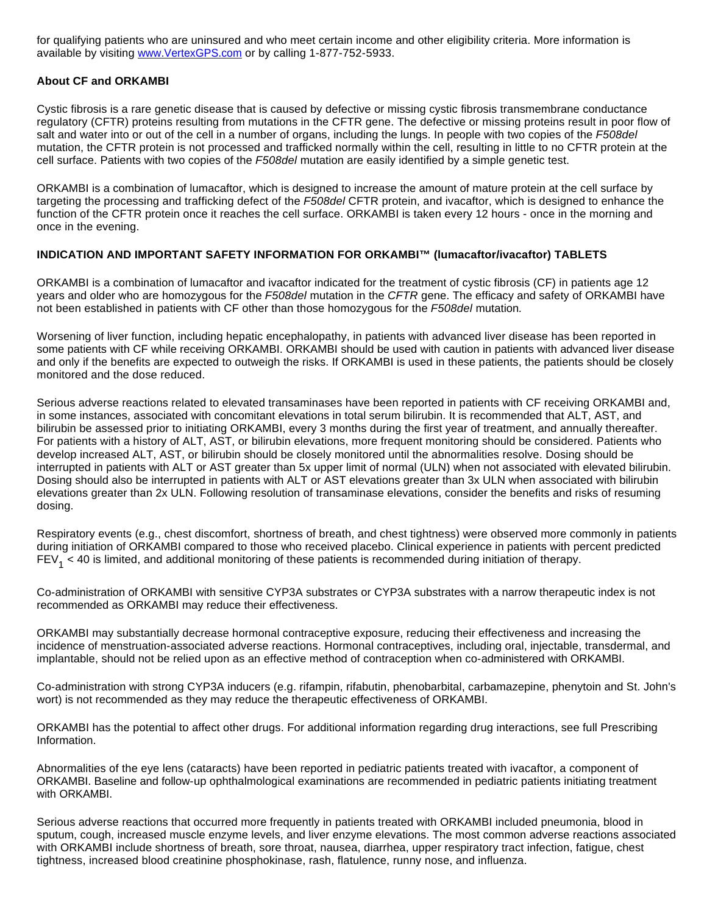for qualifying patients who are uninsured and who meet certain income and other eligibility criteria. More information is available by visiting [www.VertexGPS.com](http://cts.businesswire.com/ct/CT?id=smartlink&url=http%3A%2F%2Fwww.VertexGPS.com&esheet=51123505&newsitemid=20150702005760&lan=en-US&anchor=www.VertexGPS.com&index=2&md5=ba9a833e45c7f6ad2c4f834d08811fb0) or by calling 1-877-752-5933.

## **About CF and ORKAMBI**

Cystic fibrosis is a rare genetic disease that is caused by defective or missing cystic fibrosis transmembrane conductance regulatory (CFTR) proteins resulting from mutations in the CFTR gene. The defective or missing proteins result in poor flow of salt and water into or out of the cell in a number of organs, including the lungs. In people with two copies of the F508del mutation, the CFTR protein is not processed and trafficked normally within the cell, resulting in little to no CFTR protein at the cell surface. Patients with two copies of the F508del mutation are easily identified by a simple genetic test.

ORKAMBI is a combination of lumacaftor, which is designed to increase the amount of mature protein at the cell surface by targeting the processing and trafficking defect of the F508del CFTR protein, and ivacaftor, which is designed to enhance the function of the CFTR protein once it reaches the cell surface. ORKAMBI is taken every 12 hours - once in the morning and once in the evening.

# **INDICATION AND IMPORTANT SAFETY INFORMATION FOR ORKAMBI™ (lumacaftor/ivacaftor) TABLETS**

ORKAMBI is a combination of lumacaftor and ivacaftor indicated for the treatment of cystic fibrosis (CF) in patients age 12 years and older who are homozygous for the F508del mutation in the CFTR gene. The efficacy and safety of ORKAMBI have not been established in patients with CF other than those homozygous for the F508del mutation.

Worsening of liver function, including hepatic encephalopathy, in patients with advanced liver disease has been reported in some patients with CF while receiving ORKAMBI. ORKAMBI should be used with caution in patients with advanced liver disease and only if the benefits are expected to outweigh the risks. If ORKAMBI is used in these patients, the patients should be closely monitored and the dose reduced.

Serious adverse reactions related to elevated transaminases have been reported in patients with CF receiving ORKAMBI and, in some instances, associated with concomitant elevations in total serum bilirubin. It is recommended that ALT, AST, and bilirubin be assessed prior to initiating ORKAMBI, every 3 months during the first year of treatment, and annually thereafter. For patients with a history of ALT, AST, or bilirubin elevations, more frequent monitoring should be considered. Patients who develop increased ALT, AST, or bilirubin should be closely monitored until the abnormalities resolve. Dosing should be interrupted in patients with ALT or AST greater than 5x upper limit of normal (ULN) when not associated with elevated bilirubin. Dosing should also be interrupted in patients with ALT or AST elevations greater than 3x ULN when associated with bilirubin elevations greater than 2x ULN. Following resolution of transaminase elevations, consider the benefits and risks of resuming dosing.

Respiratory events (e.g., chest discomfort, shortness of breath, and chest tightness) were observed more commonly in patients during initiation of ORKAMBI compared to those who received placebo. Clinical experience in patients with percent predicted  $\text{FEV}_1$  < 40 is limited, and additional monitoring of these patients is recommended during initiation of therapy.

Co-administration of ORKAMBI with sensitive CYP3A substrates or CYP3A substrates with a narrow therapeutic index is not recommended as ORKAMBI may reduce their effectiveness.

ORKAMBI may substantially decrease hormonal contraceptive exposure, reducing their effectiveness and increasing the incidence of menstruation-associated adverse reactions. Hormonal contraceptives, including oral, injectable, transdermal, and implantable, should not be relied upon as an effective method of contraception when co-administered with ORKAMBI.

Co-administration with strong CYP3A inducers (e.g. rifampin, rifabutin, phenobarbital, carbamazepine, phenytoin and St. John's wort) is not recommended as they may reduce the therapeutic effectiveness of ORKAMBI.

ORKAMBI has the potential to affect other drugs. For additional information regarding drug interactions, see full Prescribing Information.

Abnormalities of the eye lens (cataracts) have been reported in pediatric patients treated with ivacaftor, a component of ORKAMBI. Baseline and follow-up ophthalmological examinations are recommended in pediatric patients initiating treatment with ORKAMBI.

Serious adverse reactions that occurred more frequently in patients treated with ORKAMBI included pneumonia, blood in sputum, cough, increased muscle enzyme levels, and liver enzyme elevations. The most common adverse reactions associated with ORKAMBI include shortness of breath, sore throat, nausea, diarrhea, upper respiratory tract infection, fatigue, chest tightness, increased blood creatinine phosphokinase, rash, flatulence, runny nose, and influenza.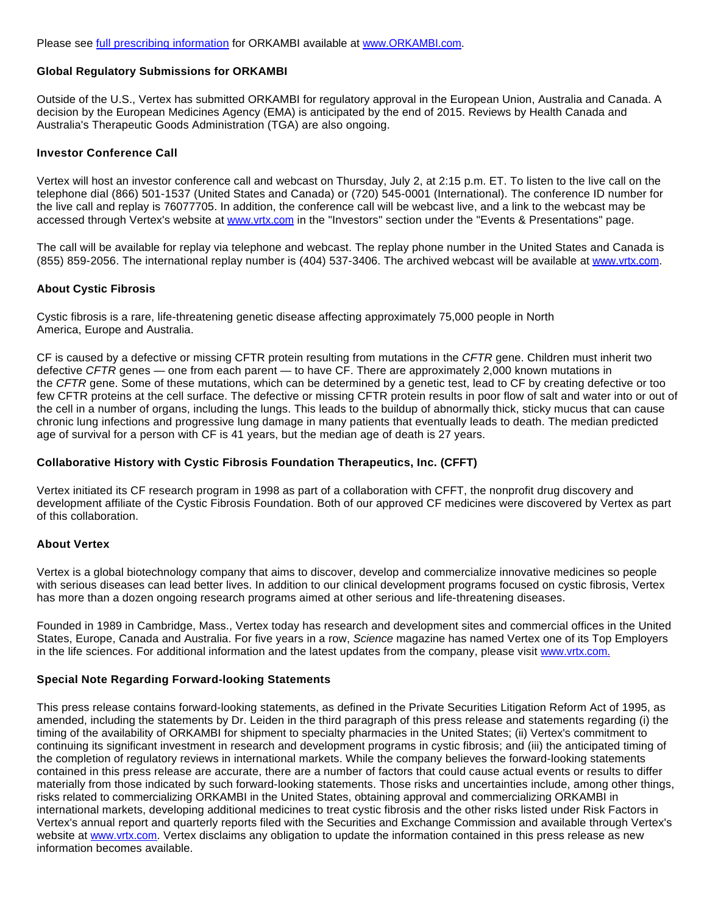## **Global Regulatory Submissions for ORKAMBI**

Outside of the U.S., Vertex has submitted ORKAMBI for regulatory approval in the European Union, Australia and Canada. A decision by the European Medicines Agency (EMA) is anticipated by the end of 2015. Reviews by Health Canada and Australia's Therapeutic Goods Administration (TGA) are also ongoing.

#### **Investor Conference Call**

Vertex will host an investor conference call and webcast on Thursday, July 2, at 2:15 p.m. ET. To listen to the live call on the telephone dial (866) 501-1537 (United States and Canada) or (720) 545-0001 (International). The conference ID number for the live call and replay is 76077705. In addition, the conference call will be webcast live, and a link to the webcast may be accessed through Vertex's website at [www.vrtx.com](http://cts.businesswire.com/ct/CT?id=smartlink&url=http%3A%2F%2Fwww.vrtx.com&esheet=51123505&newsitemid=20150702005760&lan=en-US&anchor=www.vrtx.com&index=5&md5=1056b34cde80665dec156543fb4ddf6d) in the "Investors" section under the "Events & Presentations" page.

The call will be available for replay via telephone and webcast. The replay phone number in the United States and Canada is (855) 859-2056. The international replay number is (404) 537-3406. The archived webcast will be available at [www.vrtx.com](http://cts.businesswire.com/ct/CT?id=smartlink&url=http%3A%2F%2Fwww.vrtx.com&esheet=51123505&newsitemid=20150702005760&lan=en-US&anchor=www.vrtx.com&index=6&md5=f0d314257315650f2b9f695d3556fde5).

#### **About Cystic Fibrosis**

Cystic fibrosis is a rare, life-threatening genetic disease affecting approximately 75,000 people in North America, Europe and Australia.

CF is caused by a defective or missing CFTR protein resulting from mutations in the CFTR gene. Children must inherit two defective CFTR genes — one from each parent — to have CF. There are approximately 2,000 known mutations in the CFTR gene. Some of these mutations, which can be determined by a genetic test, lead to CF by creating defective or too few CFTR proteins at the cell surface. The defective or missing CFTR protein results in poor flow of salt and water into or out of the cell in a number of organs, including the lungs. This leads to the buildup of abnormally thick, sticky mucus that can cause chronic lung infections and progressive lung damage in many patients that eventually leads to death. The median predicted age of survival for a person with CF is 41 years, but the median age of death is 27 years.

## **Collaborative History with Cystic Fibrosis Foundation Therapeutics, Inc. (CFFT)**

Vertex initiated its CF research program in 1998 as part of a collaboration with CFFT, the nonprofit drug discovery and development affiliate of the Cystic Fibrosis Foundation. Both of our approved CF medicines were discovered by Vertex as part of this collaboration.

#### **About Vertex**

Vertex is a global biotechnology company that aims to discover, develop and commercialize innovative medicines so people with serious diseases can lead better lives. In addition to our clinical development programs focused on cystic fibrosis, Vertex has more than a dozen ongoing research programs aimed at other serious and life-threatening diseases.

Founded in 1989 in Cambridge, Mass., Vertex today has research and development sites and commercial offices in the United States, Europe, Canada and Australia. For five years in a row, Science magazine has named Vertex one of its Top Employers in the life sciences. For additional information and the latest updates from the company, please visit [www.vrtx.com.](http://cts.businesswire.com/ct/CT?id=smartlink&url=http%3A%2F%2Fwww.vrtx.com&esheet=51123505&newsitemid=20150702005760&lan=en-US&anchor=www.vrtx.com.&index=7&md5=c036f639e6b60e4b261fbe0f16336993)

## **Special Note Regarding Forward-looking Statements**

This press release contains forward-looking statements, as defined in the Private Securities Litigation Reform Act of 1995, as amended, including the statements by Dr. Leiden in the third paragraph of this press release and statements regarding (i) the timing of the availability of ORKAMBI for shipment to specialty pharmacies in the United States; (ii) Vertex's commitment to continuing its significant investment in research and development programs in cystic fibrosis; and (iii) the anticipated timing of the completion of regulatory reviews in international markets. While the company believes the forward-looking statements contained in this press release are accurate, there are a number of factors that could cause actual events or results to differ materially from those indicated by such forward-looking statements. Those risks and uncertainties include, among other things, risks related to commercializing ORKAMBI in the United States, obtaining approval and commercializing ORKAMBI in international markets, developing additional medicines to treat cystic fibrosis and the other risks listed under Risk Factors in Vertex's annual report and quarterly reports filed with the Securities and Exchange Commission and available through Vertex's website at [www.vrtx.com](http://cts.businesswire.com/ct/CT?id=smartlink&url=http%3A%2F%2Fwww.vrtx.com&esheet=51123505&newsitemid=20150702005760&lan=en-US&anchor=www.vrtx.com&index=8&md5=22b3874da4851b1dc7a8e43760173562). Vertex disclaims any obligation to update the information contained in this press release as new information becomes available.